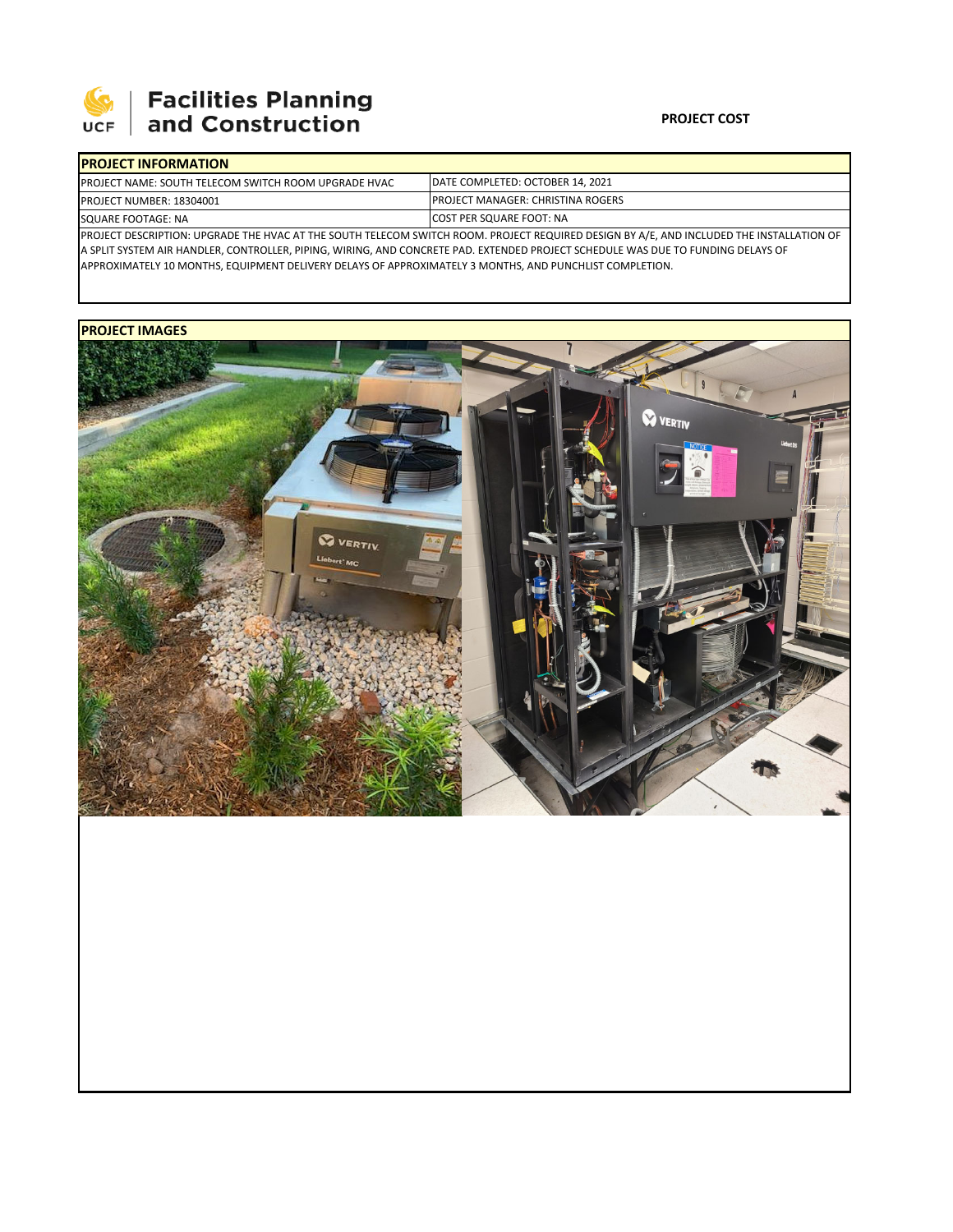

# **Facilities Planning**<br>and Construction

#### **PROJECT COST**

| <b>IPROJECT INFORMATION</b>                                  |                                                                                                                                          |  |  |  |  |  |
|--------------------------------------------------------------|------------------------------------------------------------------------------------------------------------------------------------------|--|--|--|--|--|
| <b>IPROJECT NAME: SOUTH TELECOM SWITCH ROOM UPGRADE HVAC</b> | DATE COMPLETED: OCTOBER 14, 2021                                                                                                         |  |  |  |  |  |
| <b>PROJECT NUMBER: 18304001</b>                              | <b>IPROJECT MANAGER: CHRISTINA ROGERS</b>                                                                                                |  |  |  |  |  |
| SQUARE FOOTAGE: NA                                           | <b>ICOST PER SQUARE FOOT: NA</b>                                                                                                         |  |  |  |  |  |
|                                                              | PROJECT DESCRIPTION: UPGRADE THE HVAC AT THE SOUTH TELECOM SWITCH ROOM. PROJECT REQUIRED DESIGN BY A/E, AND INCLUDED THE INSTALLATION OF |  |  |  |  |  |

A SPLIT SYSTEM AIR HANDLER, CONTROLLER, PIPING, WIRING, AND CONCRETE PAD. EXTENDED PROJECT SCHEDULE WAS DUE TO FUNDING DELAYS OF APPROXIMATELY 10 MONTHS, EQUIPMENT DELIVERY DELAYS OF APPROXIMATELY 3 MONTHS, AND PUNCHLIST COMPLETION.

### **PROJECT IMAGES**